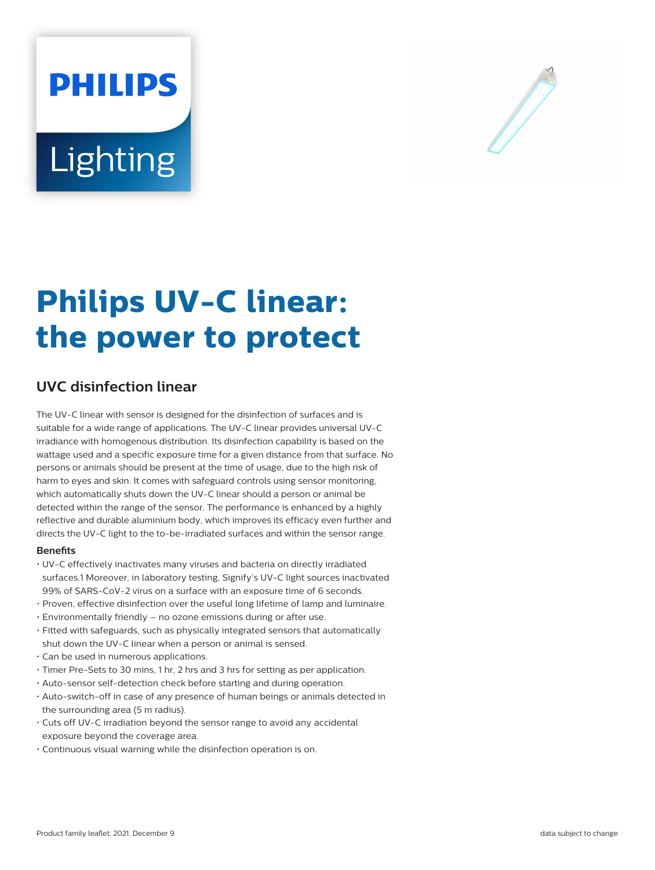# **PHILIPS** Lighting



# **Philips UV-C linear: the power to protect**

# **UVC disinfection linear**

The UV-C linear with sensor is designed for the disinfection of surfaces and is suitable for a wide range of applications. The UV-C linear provides universal UV-C irradiance with homogenous distribution. Its disinfection capability is based on the wattage used and a specific exposure time for a given distance from that surface. No persons or animals should be present at the time of usage, due to the high risk of harm to eyes and skin. It comes with safeguard controls using sensor monitoring, which automatically shuts down the UV-C linear should a person or animal be detected within the range of the sensor. The performance is enhanced by a highly reflective and durable aluminium body, which improves its efficacy even further and directs the UV-C light to the to-be-irradiated surfaces and within the sensor range.

### **Benets**

- UV-C effectively inactivates many viruses and bacteria on directly irradiated surfaces.1 Moreover, in laboratory testing, Signify's UV-C light sources inactivated 99% of SARS-CoV-2 virus on a surface with an exposure time of 6 seconds.
- Proven, effective disinfection over the useful long lifetime of lamp and luminaire.
- Environmentally friendly no ozone emissions during or after use.
- Fitted with safeguards, such as physically integrated sensors that automatically shut down the UV-C linear when a person or animal is sensed.
- Can be used in numerous applications.
- Timer Pre-Sets to 30 mins, 1 hr, 2 hrs and 3 hrs for setting as per application.
- Auto-sensor self-detection check before starting and during operation.
- Auto-switch-off in case of any presence of human beings or animals detected in the surrounding area (5 m radius).
- Cuts off UV-C irradiation beyond the sensor range to avoid any accidental exposure beyond the coverage area.
- Continuous visual warning while the disinfection operation is on.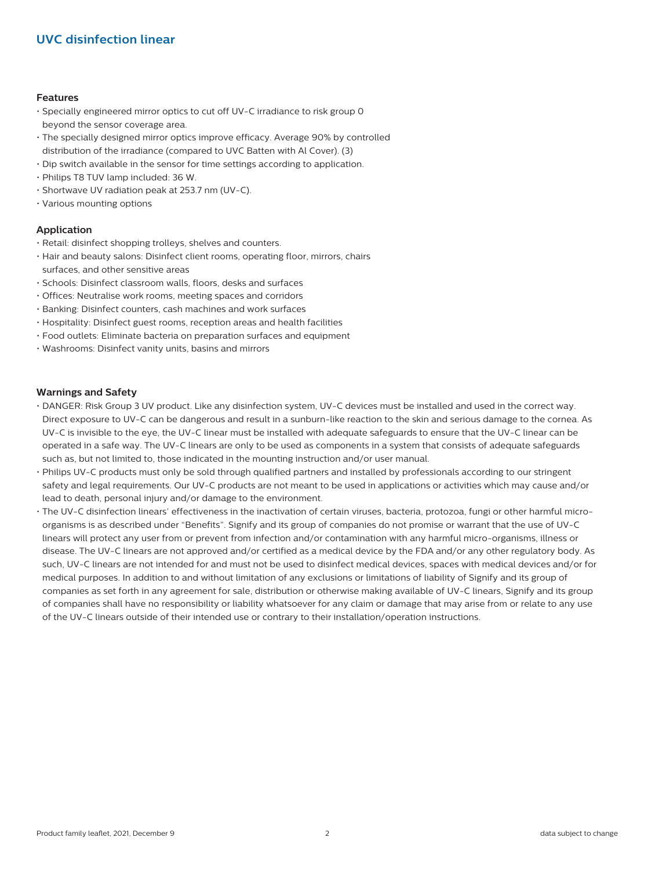# **UVC disinfection linear**

#### **Features**

- Specially engineered mirror optics to cut off UV-C irradiance to risk group 0 beyond the sensor coverage area.
- The specially designed mirror optics improve efficacy. Average 90% by controlled distribution of the irradiance (compared to UVC Batten with Al Cover). (3)
- Dip switch available in the sensor for time settings according to application.
- Philips T8 TUV lamp included: 36 W.
- Shortwave UV radiation peak at 253.7 nm (UV-C).
- Various mounting options

### **Application**

- Retail: disinfect shopping trolleys, shelves and counters.
- Hair and beauty salons: Disinfect client rooms, operating floor, mirrors, chairs surfaces, and other sensitive areas
- Schools: Disinfect classroom walls, floors, desks and surfaces
- Offices: Neutralise work rooms, meeting spaces and corridors
- Banking: Disinfect counters, cash machines and work surfaces
- Hospitality: Disinfect guest rooms, reception areas and health facilities
- Food outlets: Eliminate bacteria on preparation surfaces and equipment
- Washrooms: Disinfect vanity units, basins and mirrors

#### **Warnings and Safety**

- DANGER: Risk Group 3 UV product. Like any disinfection system, UV-C devices must be installed and used in the correct way. Direct exposure to UV-C can be dangerous and result in a sunburn-like reaction to the skin and serious damage to the cornea. As UV-C is invisible to the eye, the UV-C linear must be installed with adequate safeguards to ensure that the UV-C linear can be operated in a safe way. The UV-C linears are only to be used as components in a system that consists of adequate safeguards such as, but not limited to, those indicated in the mounting instruction and/or user manual.
- Philips UV-C products must only be sold through qualified partners and installed by professionals according to our stringent safety and legal requirements. Our UV-C products are not meant to be used in applications or activities which may cause and/or lead to death, personal injury and/or damage to the environment.
- The UV-C disinfection linears' effectiveness in the inactivation of certain viruses, bacteria, protozoa, fungi or other harmful microorganisms is as described under "Benefits". Signify and its group of companies do not promise or warrant that the use of UV-C linears will protect any user from or prevent from infection and/or contamination with any harmful micro-organisms, illness or disease. The UV-C linears are not approved and/or certified as a medical device by the FDA and/or any other regulatory body. As such, UV-C linears are not intended for and must not be used to disinfect medical devices, spaces with medical devices and/or for medical purposes. In addition to and without limitation of any exclusions or limitations of liability of Signify and its group of companies as set forth in any agreement for sale, distribution or otherwise making available of UV-C linears, Signify and its group of companies shall have no responsibility or liability whatsoever for any claim or damage that may arise from or relate to any use of the UV-C linears outside of their intended use or contrary to their installation/operation instructions.